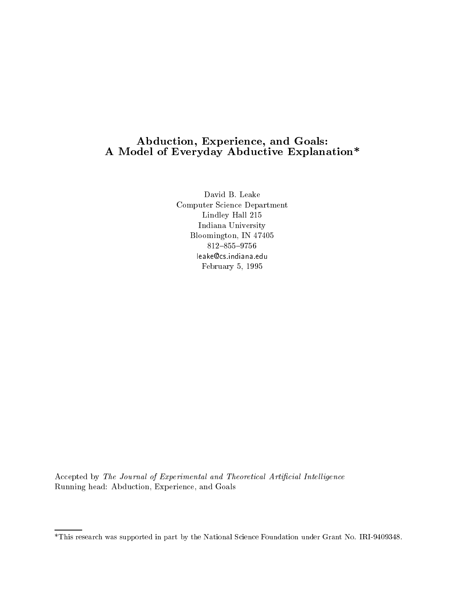# Abduction, Experience, and Goals: A Model of Everyday Abductive Explanation\*

David B. Leake Computer Science Department Lindley Hall 215 Indiana University Bloomington, IN 47405  $812{-}855{-}9756$ leake@cs.indiana.edu February 5, 1995

Accepted by The Journal of Experimental and Theoretical Artificial Intelligence Running head: Abduction, Experience, and Goals

<sup>\*</sup>This research was supported in part by the National Science Foundation under Grant No. IRI-9409348.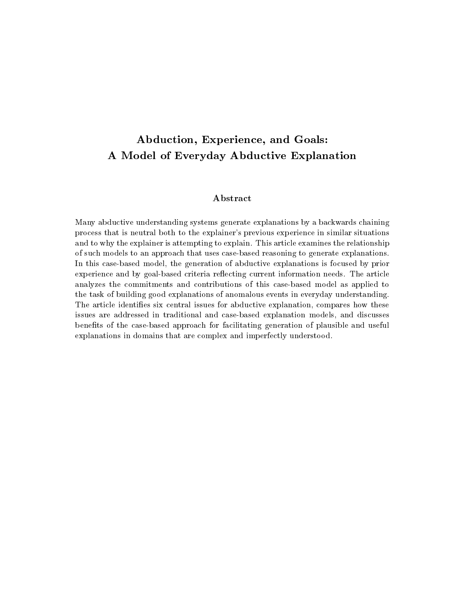# Abduction, Experience, and Goals: A Model of Everyday Abductive Explanation

#### Abstract

Many abductive understanding systems generate explanations by a backwards chaining process that is neutral both to the explainer's previous experience in similar situations and to why the explainer is attempting to explain. This article examines the relationship of such models to an approach that uses case-based reasoning to generate explanations. In this case-based model, the generation of abductive explanations is focused by prior experience and by goal-based criteria reflecting current information needs. The article analyzes the commitments and contributions of this case-based model as applied to the task of building good explanations of anomalous events in everyday understanding. The article identifies six central issues for abductive explanation, compares how these issues are addressed in traditional and case-based explanation models, and discusses benefits of the case-based approach for facilitating generation of plausible and useful explanations in domains that are complex and imperfectly understood.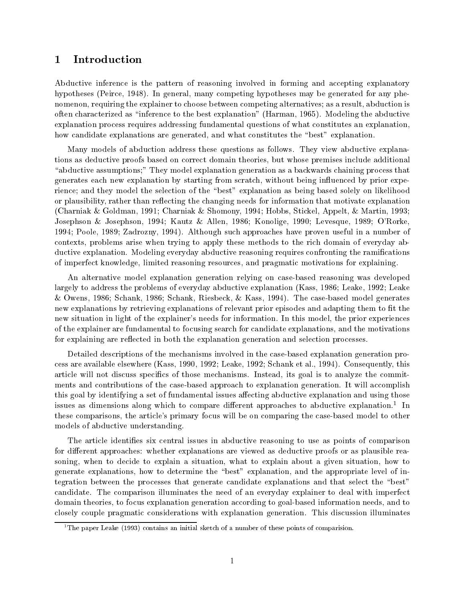#### **Introduction** 1

Abductive inference is the pattern of reasoning involved in forming and accepting explanatory hypotheses (Peirce, 1948). In general, many competing hypotheses may be generated for any phenomenon, requiring the explainer to choose between competing alternatives; as a result, abduction is often characterized as \inference to the best explanation" (Harman, 1965). Modeling the abductive explanation process requires addressing fundamental questions of what constitutes an explanation, how candidate explanations are generated, and what constitutes the "best" explanation.

Many models of abduction address these questions as follows. They view abductive explanations as deductive proofs based on correct domain theories, but whose premises include additional "abductive assumptions;" They model explanation generation as a backwards chaining process that generates each new explanation by starting from scratch, without being influenced by prior experience; and they model the selection of the "best" explanation as being based solely on likelihood or plausibility, rather than reflecting the changing needs for information that motivate explanation (Charniak & Goldman, 1991; Charniak & Shomony, 1994; Hobbs, Stickel, Appelt, & Martin, 1993; Josephson & Josephson, 1994; Kautz & Allen, 1986; Konolige, 1990; Levesque, 1989; O'Rorke, 1994; Poole, 1989; Zadrozny, 1994). Although such approaches have proven useful in a number of contexts, problems arise when trying to apply these methods to the rich domain of everyday abductive explanation. Modeling everyday abductive reasoning requires confronting the ramications of imperfect knowledge, limited reasoning resources, and pragmatic motivations for explaining.

An alternative model explanation generation relying on case-based reasoning was developed largely to address the problems of everyday abductive explanation (Kass, 1986; Leake, 1992; Leake & Owens, 1986; Schank, 1986; Schank, Riesbeck, & Kass, 1994). The case-based model generates new explanations by retrieving explanations of relevant prior episodes and adapting them to fit the new situation in light of the explainer's needs for information. In this model, the prior experiences of the explainer are fundamental to focusing search for candidate explanations, and the motivations for explaining are reflected in both the explanation generation and selection processes.

Detailed descriptions of the mechanisms involved in the case-based explanation generation process are available elsewhere (Kass, 1990, 1992; Leake, 1992; Schank et al., 1994). Consequently, this article will not discuss specifics of those mechanisms. Instead, its goal is to analyze the commitments and contributions of the case-based approach to explanation generation. It will accomplish this goal by identifying a set of fundamental issues affecting abductive explanation and using those issues as dimensions along which to compare different approaches to abductive explanation. In these comparisons, the article's primary focus will be on comparing the case-based model to other models of abductive understanding.

The article identifies six central issues in abductive reasoning to use as points of comparison for different approaches: whether explanations are viewed as deductive proofs or as plausible reasoning, when to decide to explain a situation, what to explain about a given situation, how to generate explanations, how to determine the \best" explanation, and the appropriate level of integration between the processes that generate candidate explanations and that select the \best" candidate. The comparison illuminates the need of an everyday explainer to deal with imperfect domain theories, to focus explanation generation according to goal-based information needs, and to closely couple pragmatic considerations with explanation generation. This discussion illuminates

<sup>&</sup>lt;sup>1</sup>The paper Leake (1993) contains an initial sketch of a number of these points of comparision.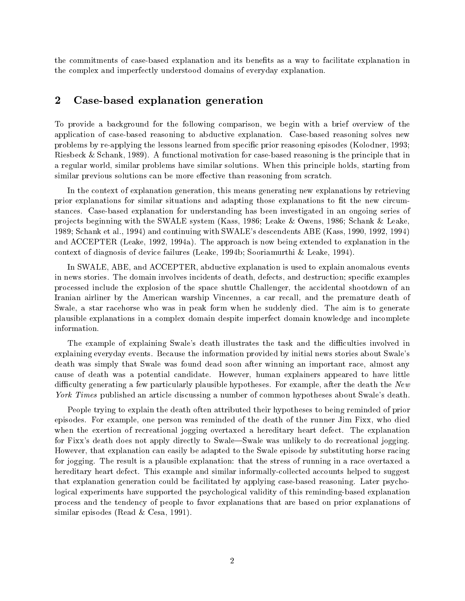the commitments of case-based explanation and its benefits as a way to facilitate explanation in the complex and imperfectly understood domains of everyday explanation.

### 2 Case-based explanation generation

To provide a background for the following comparison, we begin with a brief overview of the application of case-based reasoning to abductive explanation. Case-based reasoning solves new problems by re-applying the lessons learned from specific prior reasoning episodes (Kolodner, 1993; Riesbeck & Schank, 1989). A functional motivation for case-based reasoning is the principle that in a regular world, similar problems have similar solutions. When this principle holds, starting from similar previous solutions can be more effective than reasoning from scratch.

In the context of explanation generation, this means generating new explanations by retrieving prior explanations for similar situations and adapting those explanations to fit the new circumstances. Case-based explanation for understanding has been investigated in an ongoing series of projects beginning with the SWALE system (Kass, 1986; Leake & Owens, 1986; Schank & Leake, 1989; Schank et al., 1994) and continuing with SWALE's descendents ABE (Kass, 1990, 1992, 1994) and ACCEPTER (Leake, 1992, 1994a). The approach is now being extended to explanation in the context of diagnosis of device failures (Leake, 1994b; Sooriamurthi & Leake, 1994).

In SWALE, ABE, and ACCEPTER, abductive explanation is used to explain anomalous events in news stories. The domain involves incidents of death, defects, and destruction; specific examples processed include the explosion of the space shuttle Challenger, the accidental shootdown of an Iranian airliner by the American warship Vincennes, a car recall, and the premature death of Swale, a star racehorse who was in peak form when he suddenly died. The aim is togenerate plausible explanations in a complex domain despite imperfect domain knowledge and incomplete information.

The example of explaining Swale's death illustrates the task and the difficulties involved in explaining everyday events. Because the information provided by initial news stories about Swale's death was simply that Swale was found dead soon after winning an important race, almost any cause of death was a potential candidate. However, human explainers appeared to have little difficulty generating a few particularly plausible hypotheses. For example, after the death the  $New$ York Times published an article discussing a number of common hypotheses about Swale's death.

People trying to explain the death often attributed their hypotheses to being reminded of prior episodes. For example, one person was reminded of the death of the runner Jim Fixx, who died when the exertion of recreational jogging overtaxed a hereditary heart defect. The explanation for Fixx's death does not apply directly to Swale—Swale was unlikely to do recreational jogging. However, that explanation can easily be adapted to the Swale episode by substituting horse racing for jogging. The result is a plausible explanation: that the stress of running in a race overtaxed a hereditary heart defect. This example and similar informally-collected accounts helped to suggest that explanation generation could be facilitated by applying case-based reasoning. Later psychological experiments have supported the psychological validity of this reminding-based explanation process and the tendency of people to favor explanations that are based on prior explanations of similar episodes (Read & Cesa, 1991).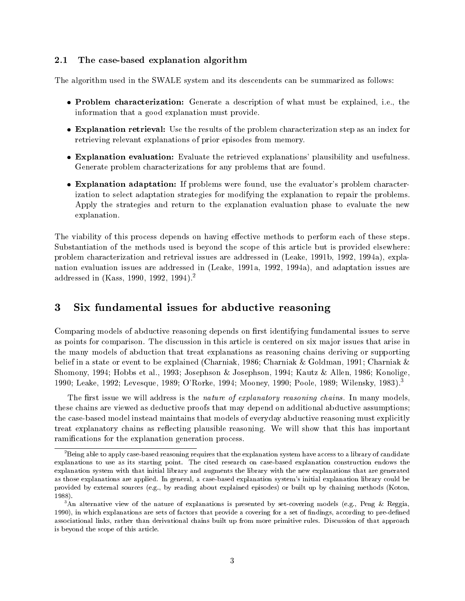#### 2.1 The case-based explanation algorithm

The algorithm used in the SWALE system and its descendents can be summarized as follows:

- Problem characterization: Generate a description of what must be explained, i.e., the information that a good explanation must provide.
- Explanation retrieval: Use the results of the problem characterization step as an index for retrieving relevant explanations of prior episodes from memory.
- Explanation evaluation: Evaluate the retrieved explanations' plausibility and usefulness. Generate problem characterizations for any problems that are found.
- Explanation adaptation: If problems were found, use the evaluator's problem characterization to select adaptation strategies for modifying the explanation to repair the problems. Apply the strategies and return to the explanation evaluation phase to evaluate the new explanation.

The viability of this process depends on having effective methods to perform each of these steps. Substantiation of the methods used is beyond the scope of this article but is provided elsewhere: problem characterization and retrieval issues are addressed in (Leake, 1991b, 1992, 1994a), explanation evaluation issues are addressed in (Leake, 1991a, 1992, 1994a), and adaptation issues are addressed in (Kass, 1990, 1992, 1994).<sup>2</sup>

# 3 Six fundamental issues for abductive reasoning

Comparing models of abductive reasoning depends on first identifying fundamental issues to serve as points for comparison. The discussion in this article is centered on six ma jor issues that arise in the many models of abduction that treat explanations as reasoning chains deriving or supporting belief in a state or event to be explained (Charniak, 1986; Charniak & Goldman, 1991; Charniak & Shomony, 1994; Hobbs et al., 1993; Josephson & Josephson, 1994; Kautz & Allen, 1986; Konolige, 1990; Leake, 1992; Levesque, 1989; O'Rorke, 1994; Mooney, 1990; Poole, 1989; Wilensky, 1983).<sup>3</sup>

The first issue we will address is the *nature of explanatory reasoning chains*. In many models, these chains are viewed as deductive proofs that may depend on additional abductive assumptions; the case-based model instead maintains that models of everyday abductive reasoning must explicitly treat explanatory chains as reflecting plausible reasoning. We will show that this has important ramications for the explanation generation process.

 $^2$ Being able to apply case-based reasoning requires that the explanation system have access to a library of candidate explanations to use as its starting point. The cited research on case-based explanation construction endows the explanation system with that initial library and augments the library with the new explanations that are generated as those explanations are applied. In general, a case-based explanation system's initial explanation library could be provided by external sources (e.g., by reading about explained episodes) or built up by chaining methods (Koton, 1988).

<sup>&</sup>lt;sup>3</sup>An alternative view of the nature of explanations is presented by set-covering models (e.g., Peng & Reggia, 1990), in which explanations are sets of factors that provide a covering for a set of findings, according to pre-defined associational links, rather than derivational chains built up from more primitive rules. Discussion of that approach is beyond the scope of this article.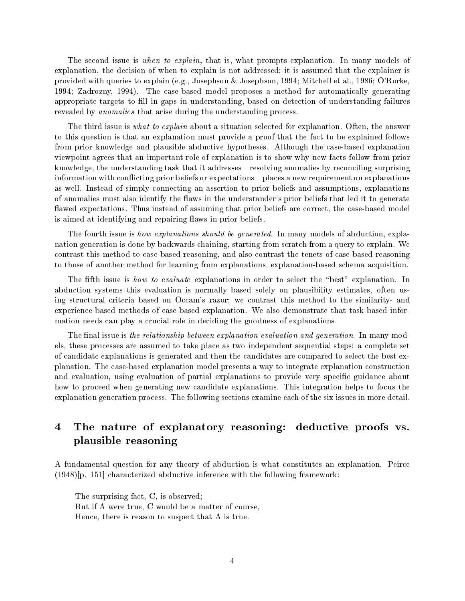The second issue is when to explain, that is, what prompts explanation. In many models of explanation, the decision of when to explain is not addressed; it is assumed that the explainer is provided with queries to explain (e.g., Josephson & Josephson, 1994; Mitchell et al., 1986; O'Rorke, 1994; Zadrozny, 1994). The case-based model proposes a method for automatically generating appropriate targets to llin gaps in understanding, based on detection of understanding failures revealed by *anomalies* that arise during the understanding process.

The third issue is *what to explain* about a situation selected for explanation. Often, the answer to this question is that an explanation must provide a proof that the fact to be explained follows from prior knowledge and plausible abductive hypotheses. Although the case-based explanation viewpoint agrees that an important role of explanation is to show why new facts follow from prior knowledge, the understanding task that it addresses—resolving anomalies by reconciling surprising information with conflicting prior beliefs or expectations—places a new requirement on explanations as well. Instead of simply connecting an assertion to prior beliefs and assumptions, explanations of anomalies must also identify the 
aws in the understander's prior beliefs that led it to generate flawed expectations. Thus instead of assuming that prior beliefs are correct, the case-based model is aimed at identifying and repairing flaws in prior beliefs.

The fourth issue is *how explanations should be generated*. In many models of abduction, explanation generation is done by backwards chaining, starting from scratch from a query to explain. We contrast this method to case-based reasoning, and also contrast the tenets of case-based reasoning to those of another method for learning from explanations, explanation-based schema acquisition.

The fifth issue is how to evaluate explanations in order to select the "best" explanation. In abduction systems this evaluation is normally based solely on plausibility estimates, often using structural criteria based on Occam's razor; we contrast this method to the similarity- and experience-based methods of case-based explanation. We also demonstrate that task-based information needs can play a crucial role in deciding the goodness of explanations.

The final issue is the relationship between explanation evaluation and generation. In many models, these processes are assumed to take place as two independent sequential steps: a complete set of candidate explanations is generated and then the candidates are compared to select the best explanation. The case-based explanation model presents a way to integrate explanation construction and evaluation, using evaluation of partial explanations to provide very specific guidance about how to proceed when generating new candidate explanations. This integration helps to focus the explanation generation process. The following sections examine each of the six issues in more detail.

#### The nature of explanatory reasoning: deductive proofs vs.  $\overline{\mathbf{4}}$ plausible reasoning

A fundamental question for any theory of abduction is what constitutes an explanation. Peirce (1948)[p. 151] characterized abductive inference with the following framework:

The surprising fact, C, is observed; But if A were true, C would be a matter of course, Hence, there is reason to suspect that A is true.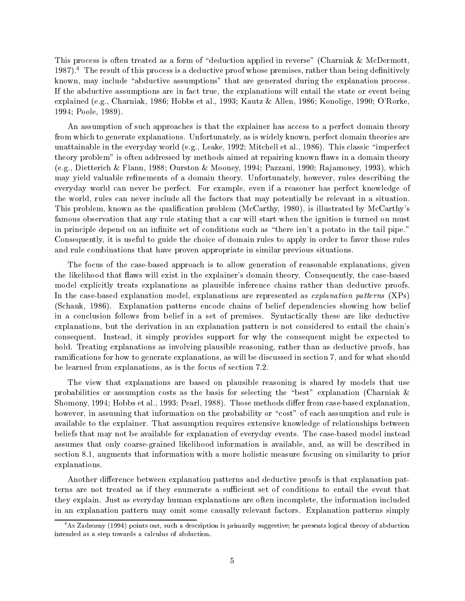This process is often treated as a form of "deduction applied in reverse" (Charniak & McDermott, 1987). $4$  The result of this process is a deductive proof whose premises, rather than being definitively known, may include "abductive assumptions" that are generated during the explanation process. If the abductive assumptions are in fact true, the explanations will entail the state or event being explained (e.g., Charniak, 1986; Hobbs et al., 1993; Kautz & Allen, 1986; Konolige, 1990; O'Rorke, 1994; Poole, 1989).

An assumption of such approaches is that the explainer has access to a perfect domain theory from which to generate explanations. Unfortunately, as is widely known, perfect domain theories are unattainable in the everyday world (e.g., Leake, 1992; Mitchell et al., 1986). This classic \imperfect theory problem" is often addressed by methods aimed at repairing known flaws in a domain theory (e.g., Dietterich & Flann, 1988; Ourston & Mooney, 1994; Pazzani, 1990; Ra jamoney, 1993), which may yield valuable refinements of a domain theory. Unfortunately, however, rules describing the everyday world can never be perfect. For example, even if a reasoner has perfect knowledge of the world, rules can never include all the factors that may potentially be relevant in a situation. This problem, known as the qualification problem (McCarthy, 1980), is illustrated by McCarthy's famous observation that any rule stating that a car will start when the ignition is turned on must in principle depend on an infinite set of conditions such as "there isn't a potato in the tail pipe." Consequently, it is useful to guide the choice of domain rules to apply in order to favor those rules and rule combinations that have proven appropriate in similar previous situations.

The focus of the case-based approach is to allow generation of reasonable explanations, given the likelihood that flaws will exist in the explainer's domain theory. Consequently, the case-based model explicitly treats explanations as plausible inference chains rather than deductive proofs. In the case-based explanation model, explanations are represented as *explanation patterns* (XPs) (Schank, 1986). Explanation patterns encode chains of belief dependencies showing how belief in a conclusion follows from belief in a set of premises. Syntactically these are like deductive explanations, but the derivation in an explanation pattern is not considered to entail the chain's consequent. Instead, it simply provides support for why the consequent might be expected to hold. Treating explanations as involving plausible reasoning, rather than as deductive proofs, has ramications for how to generate explanations, as will be discussed in section 7, and for what should be learned from explanations, as is the focus of section 7.2.

The view that explanations are based on plausible reasoning is shared by models that use probabilities or assumption costs as the basis for selecting the "best" explanation (Charniak  $\&$ Shomony, 1994; Hobbs et al., 1993; Pearl, 1988). Those methods differ from case-based explanation, however, in assuming that information on the probability or "cost" of each assumption and rule is available to the explainer. That assumption requires extensive knowledge of relationships between beliefs that may not be available for explanation of everyday events. The case-based model instead assumes that only coarse-grained likelihood information is available, and, as will be described in section 8.1, augments that information with a more holistic measure focusing on similarity to prior explanations.

Another difference between explanation patterns and deductive proofs is that explanation patterns are not treated as if they enumerate a sufficient set of conditions to entail the event that they explain. Just as everyday human explanations are often incomplete, the information included in an explanation pattern may omit some causally relevant factors. Explanation patterns simply

<sup>4</sup>As Zadrozny (1994) points out, such a description is primarily suggestive; he presents logical theory of abduction intended as a step towards a calculus of abduction.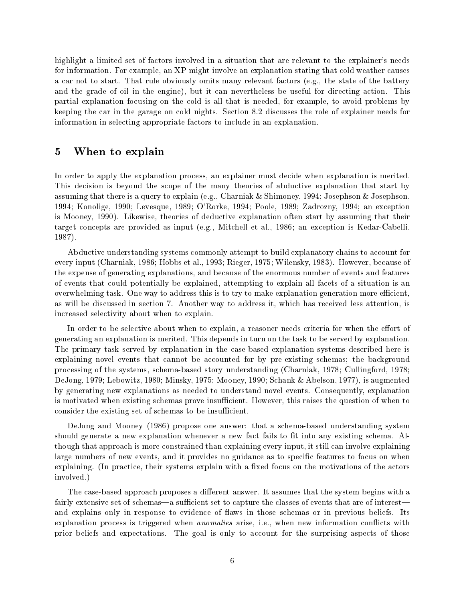highlight a limited set of factors involved in a situation that are relevant to the explainer's needs for information. For example, an XP might involve an explanation stating that cold weather causes a car not to start. That rule obviously omits many relevant factors (e.g., the state of the battery and the grade of oil in the engine), but it can nevertheless be useful for directing action. This partial explanation focusing on the cold is all that is needed, for example, to avoid problems by keeping the car in the garage on cold nights. Section 8.2 discusses the role of explainer needs for information in selecting appropriate factors to include in an explanation.

### 5 When to explain

In order to apply the explanation process, an explainer must decide when explanation is merited. This decision is beyond the scope of the many theories of abductive explanation that start by assuming that there is a query to explain (e.g., Charniak & Shimoney, 1994; Josephson & Josephson, 1994; Konolige, 1990; Levesque, 1989; O'Rorke, 1994; Poole, 1989; Zadrozny, 1994; an exception is Mooney, 1990). Likewise, theories of deductive explanation often start by assuming that their target concepts are provided as input (e.g., Mitchell et al., 1986; an exception is Kedar-Cabelli, 1987).

Abductive understanding systems commonly attempt to build explanatory chains to account for every input (Charniak, 1986; Hobbs et al., 1993; Rieger, 1975; Wilensky, 1983). However, because of the expense of generating explanations, and because of the enormous number of events and features of events that could potentially be explained, attempting to explain all facets of a situation is an overwhelming task. One way to address this is to try to make explanation generation more efficient. as will be discussed in section 7. Another way to address it, which has received less attention, is increased selectivity about when to explain.

In order to be selective about when to explain, a reasoner needs criteria for when the effort of generating an explanation is merited. This depends in turn on the task to be served by explanation. The primary task served by explanation in the case-based explanation systems described here is explaining novel events that cannot be accounted for by pre-existing schemas; the background processing of the systems, schema-based story understanding (Charniak, 1978; Cullingford, 1978; DeJong, 1979; Lebowitz, 1980; Minsky, 1975; Mooney, 1990; Schank & Abelson, 1977), is augmented by generating new explanations as needed to understand novel events. Consequently, explanation is motivated when existing schemas prove insufficient. However, this raises the question of when to consider the existing set of schemas to be insufficient.

DeJong and Mooney (1986) propose one answer: that a schema-based understanding system should generate a new explanation whenever a new fact fails to fit into any existing schema. Although that approach is more constrained than explaining every input, it still can involve explaining large numbers of new events, and it provides no guidance as to specific features to focus on when explaining. (In practice, their systems explain with a fixed focus on the motivations of the actors involved.)

The case-based approach proposes a different answer. It assumes that the system begins with a fairly extensive set of schemas—a sufficient set to capture the classes of events that are of interest and explains only in response to evidence of flaws in those schemas or in previous beliefs. Its explanation process is triggered when *anomalies* arise, i.e., when new information conflicts with prior beliefs and expectations. The goal is only to account for the surprising aspects of those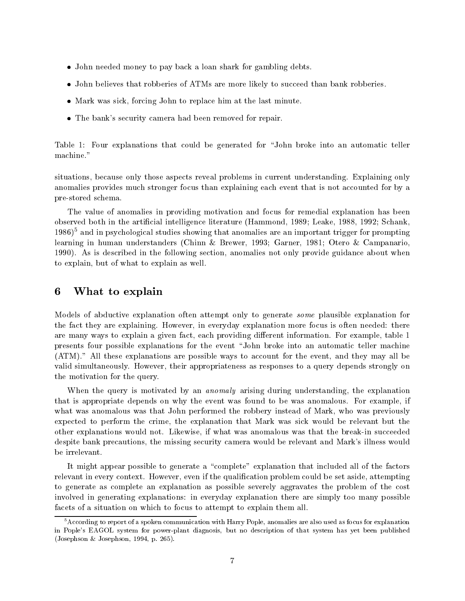- John needed money to pay back a loan shark for gambling debts.
- John believes that robberies of ATMs are more likely to succeed than bank robberies.
- Mark was sick, forcing John to replace him at the last minute.
- The bank's security camera had been removed for repair.

Table 1: Four explanations that could be generated for "John broke into an automatic teller machine."

situations, because only those aspects reveal problems in current understanding. Explaining only anomalies provides much stronger focus than explaining each event that is not accounted for by a pre-stored schema.

The value of anomalies in providing motivation and focus for remedial explanation has been observed both in the articial intelligence literature (Hammond, 1989; Leake, 1988, 1992; Schank,  $1986$ <sup>5</sup> and in psychological studies showing that anomalies are an important trigger for prompting learning in human understanders (Chinn & Brewer, 1993; Garner, 1981; Otero & Campanario, 1990). As is described in the following section, anomalies not only provide guidance about when to explain, but of what to explain as well.

### 6 What to explain

Models of abductive explanation often attempt only to generate some plausible explanation for the fact they are explaining. However, in everyday explanation more focus is often needed: there are many ways to explain a given fact, each providing different information. For example, table 1 presents four possible explanations for the event \John broke into an automatic teller machine (ATM)." All these explanations are possible ways to account for the event, and they may all be valid simultaneously. However, their appropriateness as responses to a query depends strongly on the motivation for the query.

When the query is motivated by an *anomaly* arising during understanding, the explanation that is appropriate depends on why the event was found to be was anomalous. For example, if what was anomalous was that John performed the robbery instead of Mark, who was previously expected to perform the crime, the explanation that Mark was sick would be relevant but the other explanations would not. Likewise, if what was anomalous was that the break-in succeeded despite bank precautions, the missing security camera would be relevant and Mark's illness would be irrelevant.

It might appear possible to generate a "complete" explanation that included all of the factors relevant in every context. However, even if the qualification problem could be set aside, attempting to generate as complete an explanation as possible severely aggravates the problem of the cost involved in generating explanations: in everyday explanation there are simply too many possible facets of a situation on which to focus to attempt to explain them all.

 $^5$ According to report of a spoken communication with Harry Pople, anomalies are also used as focus for explanation in Pople's EAGOL system for power-plant diagnosis, but no description of that system has yet been published (Josephson & Josephson, 1994, p. 265).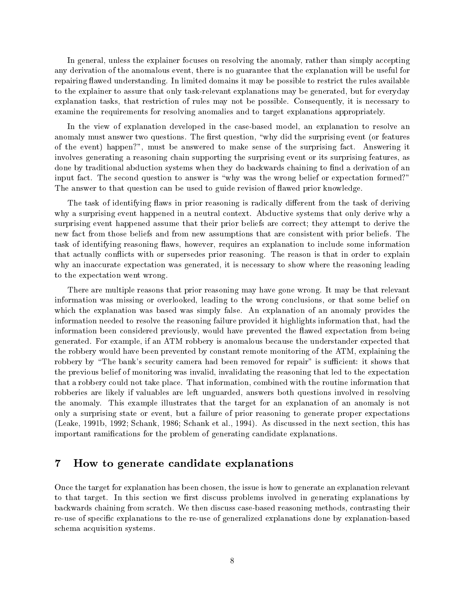In general, unless the explainer focuses on resolving the anomaly, rather than simply accepting any derivation of the anomalous event, there is no guarantee that the explanation will be useful for repairing flawed understanding. In limited domains it may be possible to restrict the rules available to the explainer to assure that only task-relevant explanations may be generated, but for everyday explanation tasks, that restriction of rules may not be possible. Consequently, it is necessary to examine the requirements for resolving anomalies and to target explanations appropriately.

In the view of explanation developed in the case-based model, an explanation to resolve an anomaly must answer two questions. The first question, "why did the surprising event (or features of the event) happen?", must be answered to make sense of the surprising fact. Answering it involves generating a reasoning chain supporting the surprising event or its surprising features, as done by traditional abduction systems when they do backwards chaining to find a derivation of an input fact. The second question to answer is "why was the wrong belief or expectation formed?" The answer to that question can be used to guide revision of flawed prior knowledge.

The task of identifying flaws in prior reasoning is radically different from the task of deriving why a surprising event happened in a neutral context. Abductive systems that only derive why a surprising event happened assume that their prior beliefs are correct; they attempt to derive the new fact from those beliefs and from new assumptions that are consistent with prior beliefs. The task of identifying reasoning flaws, however, requires an explanation to include some information that actually conflicts with or supersedes prior reasoning. The reason is that in order to explain why an inaccurate expectation was generated, it is necessary to show where the reasoning leading to the expectation went wrong.

There are multiple reasons that prior reasoning may have gone wrong. It may be that relevant information was missing or overlooked, leading to the wrong conclusions, or that some belief on which the explanation was based was simply false. An explanation of an anomaly provides the information needed to resolve the reasoning failure provided it highlights information that, had the information been considered previously, would have prevented the flawed expectation from being generated. For example, if an ATM robbery is anomalous because the understander expected that the robbery would have been prevented by constant remote monitoring of the ATM, explaining the robbery by "The bank's security camera had been removed for repair" is sufficient: it shows that the previous belief of monitoring was invalid, invalidating the reasoning that led to the expectation that a robbery could not take place. That information, combined with the routine information that robberies are likely if valuables are left unguarded, answers both questions involved in resolving the anomaly. This example illustrates that the target for an explanation of an anomaly is not only a surprising state or event, but a failure of prior reasoning to generate proper expectations (Leake, 1991b, 1992; Schank, 1986; Schank et al., 1994). As discussed in the next section, this has important ramications for the problem of generating candidate explanations.

### 7 How to generate candidate explanations

Once the target for explanation has been chosen, the issue is how to generate an explanation relevant to that target. In this section we first discuss problems involved in generating explanations by backwards chaining from scratch. We then discuss case-based reasoning methods, contrasting their re-use of specic explanations to the re-use of generalized explanations done by explanation-based schema acquisition systems.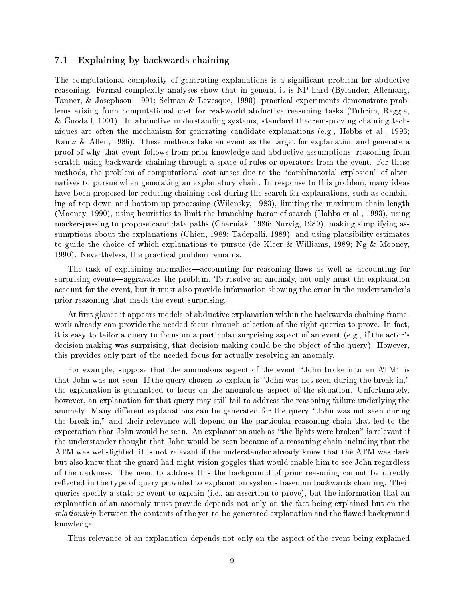#### 7.1 Explaining by backwards chaining

The computational complexity of generating explanations is a significant problem for abductive reasoning. Formal complexity analyses show that in general it is NP-hard (Bylander, Allemang, Tanner, & Josephson, 1991; Selman & Levesque, 1990); practical experiments demonstrate problems arising from computational cost for real-world abductive reasoning tasks (Tuhrim, Reggia, & Goodall, 1991). In abductive understanding systems, standard theorem-proving chaining techniques are often the mechanism for generating candidate explanations (e.g., Hobbs et al., 1993; Kautz & Allen, 1986). These methods take an event as the target for explanation and generate a proof of why that event follows from prior knowledge and abductive assumptions, reasoning from scratch using backwards chaining through a space of rules or operators from the event. For these methods, the problem of computational cost arises due to the "combinatorial explosion" of alternatives to pursue when generating an explanatory chain. In response to this problem, many ideas have been proposed for reducing chaining cost during the search for explanations, such as combining of top-down and bottom-up processing (Wilensky, 1983), limiting the maximum chain length (Mooney, 1990), using heuristics to limit the branching factor of search (Hobbs et al., 1993), using marker-passing to propose candidate paths (Charniak, 1986; Norvig, 1989), making simplifying assumptions about the explanations (Chien, 1989; Tadepalli, 1989), and using plausibility estimates to guide the choice of which explanations to pursue (de Kleer & Williams, 1989; Ng & Mooney, 1990). Nevertheless, the practical problem remains.

The task of explaining anomalies—accounting for reasoning flaws as well as accounting for surprising events—aggravates the problem. To resolve an anomaly, not only must the explanation account for the event, but it must also provide information showing the error in the understander's prior reasoning that made the event surprising.

At first glance it appears models of abductive explanation within the backwards chaining framework already can provide the needed focus through selection of the right queries to prove. In fact, it is easy to tailor a query to focus on a particular surprising aspect of an event (e.g., if the actor's decision-making was surprising, that decision-making could be the object of the query). However, this provides only part of the needed focus for actually resolving an anomaly.

For example, suppose that the anomalous aspect of the event "John broke into an ATM" is that John was not seen. If the query chosen to explain is "John was not seen during the break-in," the explanation is guaranteed to focus on the anomalous aspect of the situation. Unfortunately, however, an explanation for that query may still fail to address the reasoning failure underlying the anomaly. Many different explanations can be generated for the query "John was not seen during the break-in," and their relevance will depend on the particular reasoning chain that led to the expectation that John would be seen. An explanation such as \the lights were broken" is relevant if the understander thought that John would be seen because of a reasoning chain including that the ATM was well-lighted; it is not relevant if the understander already knew that the ATM was dark but also knew that the guard had night-vision goggles that would enable him to see John regardless of the darkness. The need to address this the background of prior reasoning cannot be directly reflected in the type of query provided to explanation systems based on backwards chaining. Their queries specify a state or event to explain (i.e., an assertion to prove), but the information that an explanation of an anomaly must provide depends not only on the fact being explained but on the relationship between the contents of the yet-to-be-generated explanation and the flawed background knowledge.

Thus relevance of an explanation depends not only on the aspect of the event being explained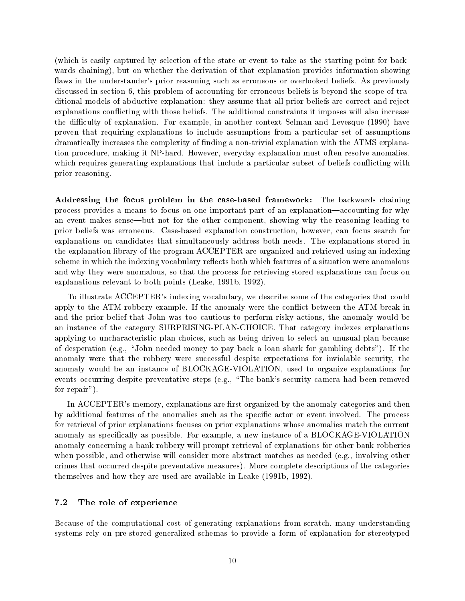(which is easily captured by selection of the state or event to take as the starting point for backwards chaining), but on whether the derivation of that explanation provides information showing flaws in the understander's prior reasoning such as erroneous or overlooked beliefs. As previously discussed in section 6, this problem of accounting for erroneous beliefs is beyond the scope of traditional models of abductive explanation: they assume that all prior beliefs are correct and reject explanations conflicting with those beliefs. The additional constraints it imposes will also increase the difficulty of explanation. For example, in another context Selman and Levesque (1990) have proven that requiring explanations to include assumptions from a particular set of assumptions dramatically increases the complexity of nding a non-trivial explanation with the ATMS explanation procedure, making it NP-hard. However, everyday explanation must often resolve anomalies, which requires generating explanations that include a particular subset of beliefs conflicting with prior reasoning.

Addressing the focus problem in the case-based framework: The backwards chaining process provides a means to focus on one important part of an explanation—accounting for why an event makes sense—but not for the other component, showing why the reasoning leading to prior beliefs was erroneous. Case-based explanation construction, however, can focus search for explanations on candidates that simultaneously address both needs. The explanations stored in the explanation library of the program ACCEPTER are organized and retrieved using an indexing scheme in which the indexing vocabulary reflects both which features of a situation were anomalous and why they were anomalous, so that the process for retrieving stored explanations can focus on explanations relevant to both points (Leake, 1991b, 1992).

To illustrate ACCEPTER's indexing vocabulary, we describe some of the categories that could apply to the ATM robbery example. If the anomaly were the con
ict between the ATM break-in and the prior belief that John was too cautious to perform risky actions, the anomaly would be an instance of the category SURPRISING-PLAN-CHOICE. That category indexes explanations applying to uncharacteristic plan choices, such as being driven to select an unusual plan because of desperation (e.g., "John needed money to pay back a loan shark for gambling debts"). If the anomaly were that the robbery were successful despite expectations for inviolable security, the anomaly would be an instance of BLOCKAGE-VIOLATION, used to organize explanations for events occurring despite preventative steps (e.g., "The bank's security camera had been removed for repair").

In ACCEPTER's memory, explanations are first organized by the anomaly categories and then by additional features of the anomalies such asthe specic actor or event involved. The process for retrieval of prior explanations focuses on prior explanations whose anomalies match the current anomaly as specically as possible. For example, a new instance of a BLOCKAGE-VIOLATION anomaly concerning a bank robbery will prompt retrieval of explanations for other bank robberies when possible, and otherwise will consider more abstract matches as needed (e.g., involving other crimes that occurred despite preventative measures). More complete descriptions of the categories themselves and how they are used are available in Leake (1991b, 1992).

#### $7.2$ The role of experience

Because of the computational cost of generating explanations from scratch, many understanding systems rely on pre-stored generalized schemas to provide a form of explanation for stereotyped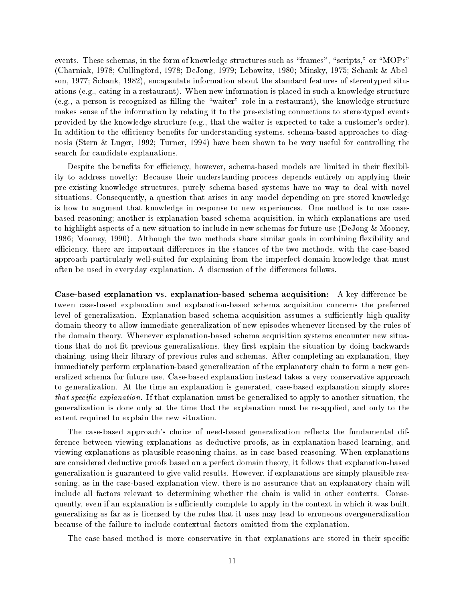events. These schemas, in the form of knowledge structures such as "frames", "scripts," or "MOPs" (Charniak, 1978; Cullingford, 1978; DeJong, 1979; Lebowitz, 1980; Minsky, 1975; Schank & Abelson, 1977; Schank, 1982), encapsulate information about the standard features of stereotyped situations (e.g., eating in a restaurant). When new information is placed in such a knowledge structure (e.g., a person is recognized as filling the "waiter" role in a restaurant), the knowledge structure makes sense of the information by relating it to the pre-existing connections to stereotyped events provided by the knowledge structure (e.g., that the waiter is expected to take a customer's order). In addition to the efficiency benefits for understanding systems, schema-based approaches to diagnosis (Stern & Luger, 1992; Turner, 1994) have been shown to be very useful for controlling the search for candidate explanations.

Despite the benefits for efficiency, however, schema-based models are limited in their flexibility to address novelty: Because their understanding process depends entirely on applying their pre-existing knowledge structures, purely schema-based systems have no way to deal with novel situations. Consequently, a question that arises in any model depending on pre-stored knowledge is how to augment that knowledge in response to new experiences. One method is to use casebased reasoning; another is explanation-based schema acquisition, in which explanations are used to highlight aspects of a new situation to include in new schemas for future use (DeJong & Mooney, 1986; Mooney, 1990). Although the two methods share similar goals in combining flexibility and efficiency, there are important differences in the stances of the two methods, with the case-based approach particularly well-suited for explaining from the imperfect domain knowledge that must often be used in everyday explanation. A discussion of the differences follows.

Case-based explanation vs. explanation-based schema acquisition: A key difference between case-based explanation and explanation-based schema acquisition concerns the preferred level of generalization. Explanation-based schema acquisition assumes a sufficiently high-quality domain theory to allow immediate generalization of new episodes whenever licensed by the rules of the domain theory. Whenever explanation-based schema acquisition systems encounter new situations that do not fit previous generalizations, they first explain the situation by doing backwards chaining, using their library of previous rules and schemas. After completing an explanation, they immediately perform explanation-based generalization of the explanatory chain to form a new generalized schema for future use. Case-based explanation instead takes a very conservative approach to generalization. At the time an explanation is generated, case-based explanation simply stores that specic explanation. If that explanation must be generalized to apply to another situation, the generalization is done only at the time that the explanation must be re-applied, and only to the extent required to explain the new situation.

The case-based approach's choice of need-based generalization reflects the fundamental difference between viewing explanations as deductive proofs, as in explanation-based learning, and viewing explanations as plausible reasoning chains, as in case-based reasoning. When explanations are considered deductive proofs based on a perfect domain theory, it follows that explanation-based generalization is guaranteed to give valid results. However, if explanations are simply plausible reasoning, as in the case-based explanation view, there is no assurance that an explanatory chain will include all factors relevant to determining whether the chain is valid in other contexts. Consequently, even if an explanation is sufficiently complete to apply in the context in which it was built, generalizing as far as is licensed by the rules that it uses may lead to erroneous overgeneralization because of the failure to include contextual factors omitted from the explanation.

The case-based method is more conservative in that explanations are stored in their specific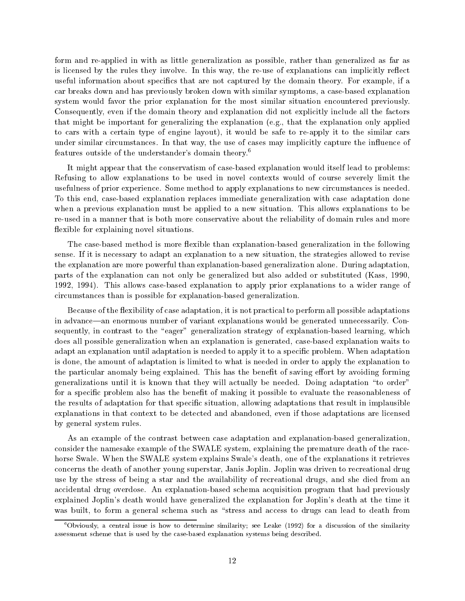form and re-applied in with as little generalization as possible, rather than generalized as far as is licensed by the rules they involve. In this way, the re-use of explanations can implicitly reflect useful information about specifics that are not captured by the domain theory. For example, if a car breaks down and has previously broken down with similar symptoms, a case-based explanation system would favor the prior explanation for the most similar situation encountered previously. Consequently, even if the domain theory and explanation did not explicitly include all the factors that might be important for generalizing the explanation (e.g., that the explanation only applied to cars with a certain type of engine layout), it would be safe to re-apply it to the similar cars under similar circumstances. In that way, the use of cases may implicitly capture the influence of features outside of the understander's domain theory.6

It might appear that the conservatism of case-based explanation would itself lead to problems: Refusing to allow explanations to be used in novel contexts would of course severely limit the usefulness of prior experience. Some method to apply explanations to new circumstances is needed. To this end, case-based explanation replaces immediate generalization with case adaptation done when a previous explanation must be applied to a new situation. This allows explanations to be re-used in a manner that is both more conservative about the reliability of domain rules and more flexible for explaining novel situations.

The case-based method is more flexible than explanation-based generalization in the following sense. If it is necessary to adapt an explanation to a new situation, the strategies allowed to revise the explanation are more powerful than explanation-based generalization alone. During adaptation, parts of the explanation can not only be generalized but also added or substituted (Kass, 1990, 1992, 1994). This allows case-based explanation to apply prior explanations to a wider range of circumstances than is possible for explanation-based generalization.

Because of the flexibility of case adaptation, it is not practical to perform all possible adaptations in advance—an enormous number of variant explanations would be generated unnecessarily. Consequently, in contrast to the "eager" generalization strategy of explanation-based learning, which does all possible generalization when an explanation is generated, case-based explanation waits to adapt an explanation until adaptation is needed to apply it to a specic problem. When adaptation is done, the amount of adaptation is limited to what is needed in order to apply the explanation to the particular anomaly being explained. This has the benefit of saving effort by avoiding forming generalizations until it is known that they will actually be needed. Doing adaptation \to order" for a specific problem also has the benefit of making it possible to evaluate the reasonableness of the results of adaptation for that specic situation, allowing adaptations that result in implausible explanations in that context to be detected and abandoned, even if those adaptations are licensed by general system rules.

As an example of the contrast between case adaptation and explanation-based generalization, consider the namesake example of the SWALE system, explaining the premature death of the racehorse Swale. When the SWALE system explains Swale's death, one of the explanations it retrieves concerns the death of another young superstar, Janis Joplin. Joplin was driven to recreational drug use by the stress of being a star and the availability of recreational drugs, and she died from an accidental drug overdose. An explanation-based schema acquisition program that had previously explained Joplin's death would have generalized the explanation for Joplin's death at the time it was built, to form a general schema such as "stress and access to drugs can lead to death from

<sup>&</sup>lt;sup>6</sup>Obviously, a central issue is how to determine similarity; see Leake (1992) for a discussion of the similarity assessment scheme that is used by the case-based explanation systems being described.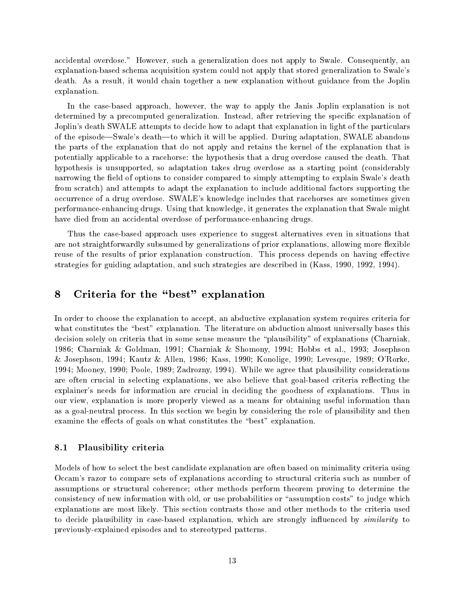accidental overdose." However, such a generalization does not apply to Swale. Consequently, an explanation-based schema acquisition system could not apply that stored generalization to Swale's death. As a result, it would chain together a new explanation without guidance from the Joplin explanation.

In the case-based approach, however, the way to apply the Janis Joplin explanation is not determined by a precomputed generalization. Instead, after retrieving the specific explanation of Joplin's death SWALE attempts to decide how to adapt that explanation in light of the particulars of the episode—Swale's death—to which it will be applied. During adaptation, SWALE abandons the parts of the explanation that do not apply and retains the kernel of the explanation that is potentially applicable to a racehorse: the hypothesis that a drug overdose caused the death. That hypothesis is unsupported, so adaptation takes drug overdose as a starting point (considerably narrowing the field of options to consider compared to simply attempting to explain Swale's death from scratch) and attempts to adapt the explanation to include additional factors supporting the occurrence of a drug overdose. SWALE's knowledge includes that racehorses are sometimes given performance-enhancing drugs. Using that knowledge, it generates the explanation that Swale might have died from an accidental overdose of performance-enhancing drugs.

Thus the case-based approach uses experience to suggest alternatives even in situations that are not straightforwardly subsumed by generalizations of prior explanations, allowing more flexible reuse of the results of prior explanation construction. This process depends on having effective strategies for guiding adaptation, and such strategies are described in (Kass, 1990, 1992, 1994).

# 8 Criteria for the "best" explanation

In order to choose the explanation to accept, an abductive explanation system requires criteria for what constitutes the "best" explanation. The literature on abduction almost universally bases this decision solely on criteria that in some sense measure the "plausibility" of explanations (Charniak, 1986; Charniak & Goldman, 1991; Charniak & Shomony, 1994; Hobbs et al., 1993; Josephson & Josephson, 1994; Kautz & Allen, 1986; Kass, 1990; Konolige, 1990; Levesque, 1989; O'Rorke, 1994; Mooney, 1990; Poole, 1989; Zadrozny, 1994). While we agree that plausibility considerations are often crucial in selecting explanations, we also believe that goal-based criteria reflecting the explainer's needs for information are crucial in deciding the goodness of explanations. Thus in our view, explanation is more properly viewed as a means for obtaining useful information than as a goal-neutral process. In this section we begin by considering the role of plausibility and then examine the effects of goals on what constitutes the "best" explanation.

#### 8.1 Plausibility criteria

Models of how to select the best candidate explanation are often based on minimality criteria using Occam's razor to compare sets of explanations according to structural criteria such as number of assumptions or structural coherence; other methods perform theorem proving to determine the consistency of new information with old, or use probabilities or "assumption costs" to judge which explanations are most likely. This section contrasts those and other methods to the criteria used to decide plausibility in case-based explanation, which are strongly influenced by *similarity* to previously-explained episodes and to stereotyped patterns.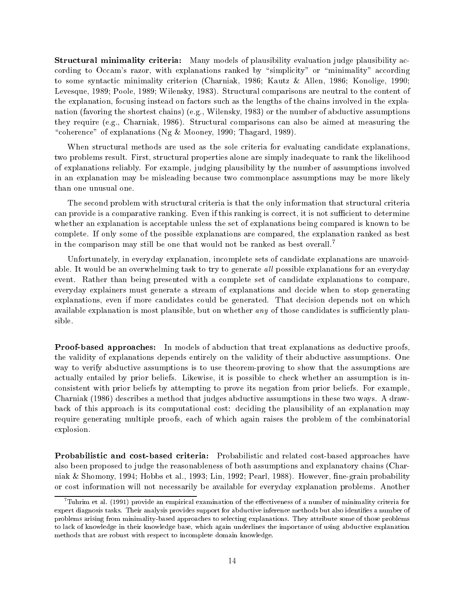Structural minimality criteria: Many models of plausibility evaluation judge plausibility according to Occam's razor, with explanations ranked by "simplicity" or "minimality" according to some syntactic minimality criterion (Charniak, 1986; Kautz & Allen, 1986; Konolige, 1990; Levesque, 1989; Poole, 1989; Wilensky, 1983). Structural comparisons are neutral to the content of the explanation, focusing instead on factors such as the lengths of the chains involved in the explanation (favoring the shortest chains) (e.g., Wilensky, 1983) or the number of abductive assumptions they require (e.g., Charniak, 1986). Structural comparisons can also be aimed atmeasuring the "coherence" of explanations (Ng & Mooney, 1990; Thagard, 1989).

When structural methods are used as the sole criteria for evaluating candidate explanations, two problems result. First, structural properties alone are simply inadequate to rank the likelihood of explanations reliably. For example, judging plausibility by the number of assumptions involved in an explanation may be misleading because two commonplace assumptions may be more likely than one unusual one.

The second problem with structural criteria is that the only information that structural criteria can provide is a comparative ranking. Even if this ranking is correct, it is not sufficient to determine whether an explanation is acceptable unless the set of explanations being compared is known to be complete. If only some of the possible explanations are compared, the explanation ranked as best in the comparison may still be one that would not be ranked as best overall.7

Unfortunately, in everyday explanation, incomplete sets of candidate explanations are unavoidable. It would be an overwhelming task to try to generate all possible explanations for an everyday event. Rather than being presented with a complete set of candidate explanations to compare, everyday explainers must generate a stream of explanations and decide when to stop generating explanations, even if more candidates could be generated. That decision depends not on which available explanation is most plausible, but on whether *any* of those candidates is sufficiently plausible.

Proof-based approaches: In models of abduction that treat explanations as deductive proofs, the validity of explanations depends entirely on the validity of their abductive assumptions. One way to verify abductive assumptions is to use theorem-proving to show that the assumptions are actually entailed by prior beliefs. Likewise, it is possible to check whether an assumption is inconsistent with prior beliefs by attempting to prove its negation from prior beliefs. For example, Charniak (1986) describes a method that judges abductive assumptions in these two ways. A drawback of this approach is its computational cost: deciding the plausibility of an explanation may require generating multiple proofs, each of which again raises the problem of the combinatorial explosion.

Probabilistic and cost-based criteria: Probabilistic and related cost-based approaches have also been proposed to judge the reasonableness of both assumptions and explanatory chains (Charniak & Shomony, 1994; Hobbs et al., 1993; Lin, 1992; Pearl, 1988). However, fine-grain probability or cost information willnot necessarily be available for everyday explanation problems. Another

 $^7$ Tuhrim et al. (1991) provide an empirical examination of the effectiveness of a number of minimality criteria for expert diagnosis tasks. Their analysis provides support for abductive inference methods but also identifies a number of problems arising from minimality-based approaches to selecting explanations. They attribute some of those problems to lack of knowledge in their knowledge base, which again underlines the importance of using abductive explanation methods that are robust with respect to incomplete domain knowledge.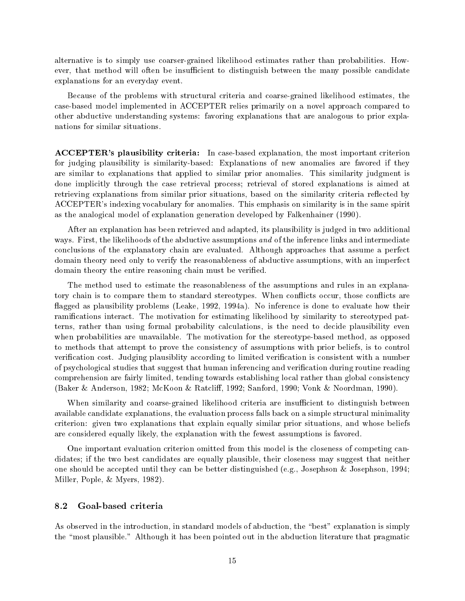alternative is to simply use coarser-grained likelihood estimates rather than probabilities. However, that method will often be insufficient to distinguish between the many possible candidate explanations for an everyday event.

Because of the problems with structural criteria and coarse-grained likelihood estimates, the case-based model implemented in ACCEPTER relies primarily on a novel approach compared to other abductive understanding systems: favoring explanations that are analogous to prior explanations for similar situations.

ACCEPTER's plausibility criteria: In case-based explanation, the most important criterion for judging plausibility is similarity-based: Explanations of new anomalies are favored if they are similar to explanations that applied to similar prior anomalies. This similarity judgment is done implicitly through the case retrieval process; retrieval of stored explanations is aimed at retrieving explanations from similar prior situations, based on the similarity criteria reflected by ACCEPTER's indexing vocabulary for anomalies. This emphasis on similarity is in the same spirit as the analogical model of explanation generation developed by Falkenhainer (1990).

After an explanation has been retrieved and adapted, its plausibility is judged in two additional ways. First, the likelihoods of the abductive assumptions and of the inference links and intermediate conclusions of the explanatory chain are evaluated. Although approaches that assume a perfect domain theory need only to verify the reasonableness of abductive assumptions, with an imperfect domain theory the entire reasoning chain must be verified.

The method used to estimate the reasonableness of the assumptions and rules in an explanatory chain is to compare them to standard stereotypes. When conflicts occur, those conflicts are flagged as plausibility problems (Leake, 1992, 1994a). No inference is done to evaluate how their ramications interact. The motivation for estimating likelihood by similarity to stereotyped patterns, rather than using formal probability calculations, is the need to decide plausibility even when probabilities are unavailable. The motivation for the stereotype-based method, as opposed to methods that attempt to prove the consistency of assumptions with prior beliefs, is to control verification cost. Judging plausiblity according to limited verification is consistent with a number of psychological studies that suggest that human inferencing and verication during routine reading comprehension are fairly limited, tending towards establishing local rather than global consistency (Baker & Anderson, 1982; McKoon & Ratcliff, 1992; Sanford, 1990; Vonk & Noordman, 1990).

When similarity and coarse-grained likelihood criteria are insufficient to distinguish between available candidate explanations, the evaluation process falls back on a simple structural minimality criterion: given two explanations that explain equally similar prior situations, and whose beliefs are considered equally likely, the explanation with the fewest assumptions is favored.

One important evaluation criterion omitted from this model is the closeness of competing candidates; if the two best candidates are equally plausible, their closeness may suggest that neither one should be accepted until they can be better distinguished (e.g., Josephson & Josephson, 1994; Miller, Pople, & Myers, 1982).

#### 8.2 Goal-based criteria

As observed in the introduction, in standard models of abduction, the "best" explanation is simply the "most plausible." Although it has been pointed out in the abduction literature that pragmatic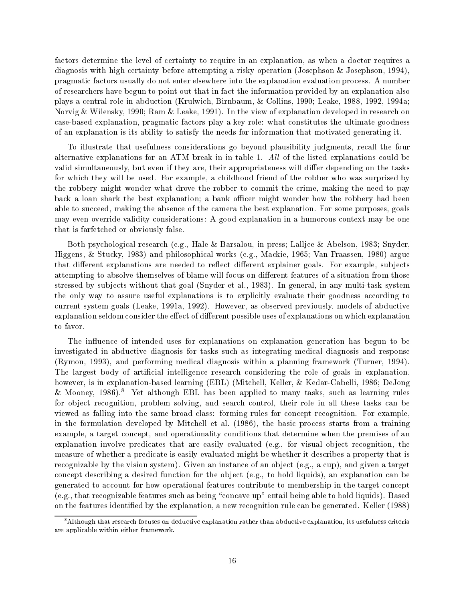factors determine the level of certainty to require in an explanation, as when a doctor requires a diagnosis with high certainty before attempting a risky operation (Josephson & Josephson, 1994), pragmatic factors usually do not enter elsewhere into the explanation evaluation process. A number of researchers have begun to point out that in fact the information provided by an explanation also plays a central role in abduction (Krulwich, Birnbaum, & Collins, 1990; Leake, 1988, 1992, 1994a; Norvig & Wilensky, 1990; Ram & Leake, 1991). In the view of explanation developed in research on case-based explanation, pragmatic factors playakey role: what constitutes the ultimate goodness of an explanation is its ability to satisfy the needs for information that motivated generating it.

To illustrate that usefulness considerations go beyond plausibility judgments, recall the four alternative explanations for an ATM break-in in table 1. All of the listed explanations could be valid simultaneously, but even if they are, their appropriateness will differ depending on the tasks for which they will be used. For example, a childhood friend of the robber who was surprised by the robbery might wonder what drove the robber to commit the crime, making the need to pay back a loan shark the best explanation; a bank officer might wonder how the robbery had been able to succeed, making the absence of the camera the best explanation. For some purposes, goals may even override validity considerations: A good explanation in a humorous context may be one that is farfetched or obviously false.

Both psychological research (e.g., Hale & Barsalou, in press; Lalljee & Abelson, 1983; Snyder, Higgens, & Stucky, 1983) and philosophical works (e.g., Mackie, 1965; Van Fraassen, 1980) argue that different explanations are needed to reflect different explainer goals. For example, subjects attempting to absolve themselves of blame will focus on different features of a situation from those stressed by sub jects without that goal (Snyder et al., 1983). In general, in any multi-task system the only way to assure useful explanations is to explicitly evaluate their goodness according to current system goals (Leake, 1991a, 1992). However, as observed previously, models of abductive explanation seldom consider the effect of different possible uses of explanations on which explanation to favor.

The influence of intended uses for explanations on explanation generation has begun to be investigated in abductive diagnosis for tasks such as integrating medical diagnosis and response (Rymon, 1993), and performing medical diagnosis within a planning framework (Turner, 1994). The largest body of artificial intelligence research considering the role of goals in explanation, however, is in explanation-based learning (EBL) (Mitchell, Keller, & Kedar-Cabelli, 1986; DeJong & Mooney,  $1986$ ).<sup>8</sup> Yet although EBL has been applied to many tasks, such as learning rules for object recognition, problem solving, and search control, their role in all these tasks can be viewed as falling into the same broad class: forming rules for concept recognition. For example, in the formulation developed by Mitchell et al. (1986), the basic process starts from a training example, a target concept, and operationality conditions that determine when the premises of an explanation involve predicates that are easily evaluated (e.g., for visual object recognition, the measure of whether a predicate is easily evaluated might be whether it describes a property that is recognizable by the vision system). Given an instance of an object (e.g., a cup), and given a target concept describing a desired function for the object (e.g., to hold liquids), an explanation can be generated to account for how operational features contribute to membership in the target concept (e.g., that recognizable features such as being \concave up" entail being able to hold liquids). Based on the features identied by the explanation, a new recognition rule can be generated. Keller (1988)

 $^8\rm{Although}$  that research focuses on deductive explanation rather than abductive explanation, its usefulness criteria are applicable within either framework.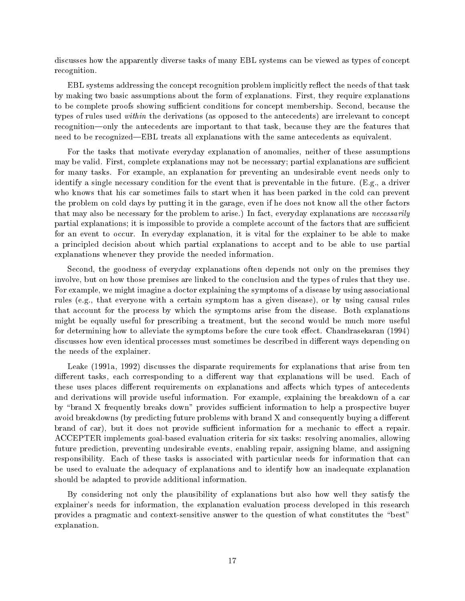discusses how the apparently diverse tasks of many EBL systems can be viewed as types of concept recognition.

EBL systems addressing the concept recognition problem implicitly reflect the needs of that task by making two basic assumptions about the form of explanations. First, they require explanations to be complete proofs showing sufficient conditions for concept membership. Second, because the types of rules used within the derivations (as opposed to the antecedents) are irrelevant to concept recognition—only the antecedents are important to that task, because they are the features that need to be recognized—EBL treats all explanations with the same antecedents as equivalent.

For the tasks that motivate everyday explanation of anomalies, neither of these assumptions may be valid. First, complete explanations may not be necessary; partial explanations are sufficient for many tasks. For example, an explanation for preventing an undesirable event needs only to identify a single necessary condition for the event that is preventable in the future. (E.g., a driver who knows that his car sometimes fails to start when it has been parked in the cold can prevent the problem on cold days by putting it in the garage, even if he does not know all the other factors that may also be necessary for the problem to arise.) In fact, everyday explanations are necessarily partial explanations; it is impossible to provide a complete account of the factors that are sufficient for an event to occur. In everyday explanation, it is vital for the explainer to be able to make a principled decision about which partial explanations to accept and to be able to use partial explanations whenever they provide the needed information.

Second, the goodness of everyday explanations often depends not only on the premises they involve, but on how those premises are linked to the conclusion and the types of rules that they use. For example, we might imagine a doctor explaining the symptoms of a disease by using associational rules (e.g., that everyone with a certain symptom has a given disease), or by using causal rules that account for the process by which the symptoms arise from the disease. Both explanations might be equally useful for prescribing a treatment, but the second would be much more useful for determining how to alleviate the symptoms before the cure took effect. Chandrasekaran (1994) discusses how even identical processes must sometimes be described in different ways depending on the needs of the explainer.

Leake (1991a, 1992) discusses the disparate requirements for explanations that arise from ten different tasks, each corresponding to a different way that explanations will be used. Each of these uses places different requirements on explanations and affects which types of antecedents and derivations will provide useful information. For example, explaining the breakdown of a car by "brand X frequently breaks down" provides sufficient information to help a prospective buyer avoid breakdowns (by predicting future problems with brand X and consequently buying a different brand of car), but it does not provide sufficient information for a mechanic to effect a repair. ACCEPTER implements goal-based evaluation criteria for six tasks: resolving anomalies, allowing future prediction, preventing undesirable events, enabling repair, assigning blame, and assigning responsibility. Each of these tasks is associated with particular needs for information that can be used to evaluate the adequacy of explanations and to identify how an inadequate explanation should be adapted to provide additional information.

By considering not only the plausibility of explanations but also how well they satisfy the explainer's needs for information, the explanation evaluation process developed in this research provides a pragmatic and context-sensitive answer to the question of what constitutes the \best" explanation.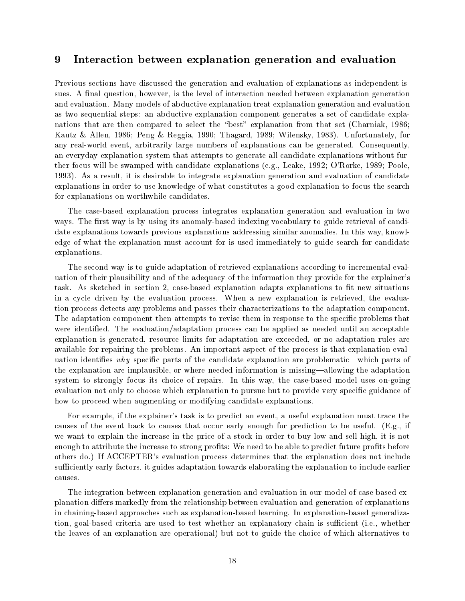#### 9 Interaction between explanation generation and evaluation

Previous sections have discussed the generation and evaluation of explanations as independent issues. A final question, however, is the level of interaction needed between explanation generation and evaluation. Many models of abductive explanation treat explanation generation and evaluation as two sequential steps: an abductive explanation component generates a set of candidate explanations that are then compared to select the "best" explanation from that set (Charniak, 1986; Kautz & Allen, 1986; Peng & Reggia, 1990; Thagard, 1989; Wilensky, 1983). Unfortunately, for any real-world event, arbitrarily large numbers of explanations can be generated. Consequently, an everyday explanation system that attempts to generate all candidate explanations without further focus will be swamped with candidate explanations (e.g., Leake, 1992; O'Rorke, 1989; Poole, 1993). As a result, it is desirable to integrate explanation generation and evaluation of candidate explanations in order to use knowledge of what constitutes a good explanation to focus the search for explanations on worthwhile candidates.

The case-based explanation process integrates explanation generation and evaluation in two ways. The first way is by using its anomaly-based indexing vocabulary to guide retrieval of candidate explanations towards previous explanations addressing similar anomalies. In this way, knowledge of what the explanation must account for is used immediately to guide search for candidate explanations.

The second way is to guide adaptation of retrieved explanations according to incremental evaluation of their plausibility and of the adequacy of the information they provide for the explainer's task. As sketched in section 2, case-based explanation adapts explanations to fit new situations in a cycle driven by the evaluation process. When a new explanation is retrieved, the evaluation process detects any problems and passes their characterizations to the adaptation component. The adaptation component then attempts to revise them in response to the specic problems that were identied. The evaluation/adaptation process can be applied as needed until an acceptable explanation is generated, resource limits for adaptation are exceeded, or no adaptation rules are available for repairing the problems. An important aspect of the process is that explanation evaluation identifies why specific parts of the candidate explanation are problematic—which parts of the explanation are implausible, or where needed information is missing—allowing the adaptation system to strongly focus its choice of repairs. In this way, the case-based model uses on-going evaluation not only to choose which explanation to pursue but to provide very specific guidance of how to proceed when augmenting or modifying candidate explanations.

For example, if the explainer's task is to predict an event, a useful explanation must trace the causes of the event back to causes that occur early enough for prediction to be useful. (E.g., if we want to explain the increase in the price of a stock in order to buy low and sell high, it is not enough to attribute the increase to strong profits: We need to be able to predict future profits before others do.) If ACCEPTER's evaluation process determines that the explanation does not include sufficiently early factors, it guides adaptation towards elaborating the explanation to include earlier causes.

The integration between explanation generation and evaluation in our model of case-based explanation differs markedly from the relationship between evaluation and generation of explanations in chaining-based approaches such as explanation-based learning. In explanation-based generalization, goal-based criteria are used to test whether an explanatory chain is sufficient (i.e., whether the leaves of an explanation are operational) but not to guide the choice of which alternatives to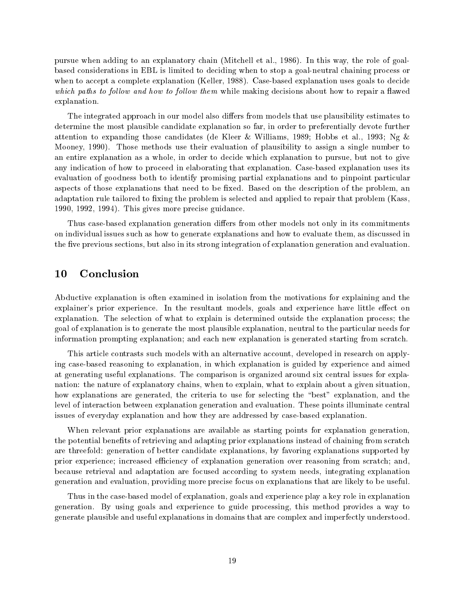pursue when adding to an explanatory chain (Mitchell et al., 1986). In this way, the role of goalbased considerations in EBL is limited to deciding when to stop a goal-neutral chaining process or when to accept a complete explanation (Keller, 1988). Case-based explanation uses goals to decide which paths to follow and how to follow them while making decisions about how to repair a flawed explanation.

The integrated approach in our model also differs from models that use plausibility estimates to determine the most plausible candidate explanation so far, in order to preferentially devote further attention to expanding those candidates (de Kleer & Williams, 1989; Hobbs et al., 1993; Ng & Mooney, 1990). Those methods use their evaluation of plausibility to assign a single number to an entire explanation as a whole, in order to decide which explanation to pursue, but not to give any indication of how to proceed in elaborating that explanation. Case-based explanation uses its evaluation of goodness both to identify promising partial explanations and to pinpoint particular aspects of those explanations that need to be fixed. Based on the description of the problem, an adaptation rule tailored to fixing the problem is selected and applied to repair that problem (Kass, 1990, 1992, 1994). This gives more precise guidance.

Thus case-based explanation generation differs from other models not only in its commitments on individual issues such as how to generate explanations and how to evaluate them, as discussed in the five previous sections, but also in its strong integration of explanation generation and evaluation.

## 10 Conclusion

Abductive explanation is often examined in isolation from the motivations for explaining and the explainer's prior experience. In the resultant models, goals and experience have little effect on explanation. The selection of what to explain is determined outside the explanation process; the goal of explanation is to generate the most plausible explanation, neutral to the particular needs for information prompting explanation; and each new explanation is generated starting from scratch.

This article contrasts such models with an alternative account, developed in research on applying case-based reasoning to explanation, in which explanation is guided by experience and aimed at generating useful explanations. The comparison is organized around six central issues for explanation: the nature of explanatory chains, when to explain, what to explain about a given situation, how explanations are generated, the criteria to use for selecting the "best" explanation, and the level of interaction between explanation generation and evaluation. These points illuminate central issues of everyday explanation and how they are addressed by case-based explanation.

When relevant prior explanations are available as starting points for explanation generation, the potential benets of retrieving and adapting prior explanations instead of chaining from scratch are threefold: generation of better candidate explanations, by favoring explanations supported by prior experience; increased efficiency of explanation generation over reasoning from scratch; and, because retrieval and adaptation are focused according to system needs, integrating explanation generation and evaluation, providing more precise focus on explanations that are likely to be useful.

Thus in the case-based model of explanation, goals and experience playakey role in explanation generation. By using goals and experience to guide processing, this method provides a way to generate plausible and useful explanations in domains that are complex and imperfectly understood.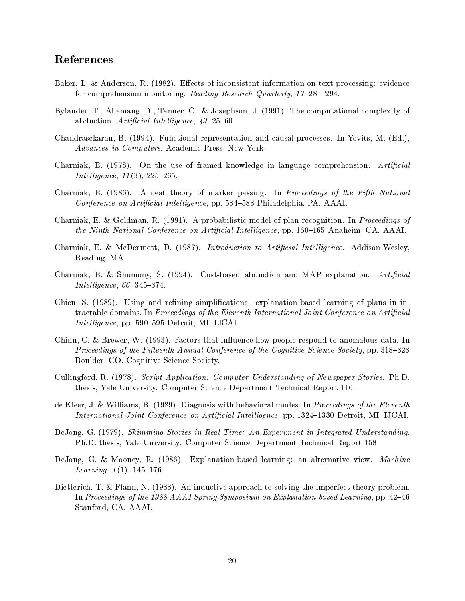# References

- Baker, L. & Anderson, R. (1982). Effects of inconsistent information on text processing: evidence for comprehension monitoring. Reading Research Quarterly, 17, 281–294.
- Bylander, T., Allemang, D., Tanner, C., & Josephson, J. (1991). The computational complexity of abduction. Artificial Intelligence,  $49, 25-60$ .
- Chandrasekaran, B. (1994). Functional representation and causal processes. In Yovits, M. (Ed.), Advances in Computers. Academic Press, New York.
- Charniak, E. (1978). On the use of framed knowledge in language comprehension.  $Artificial$ *Intelligence*,  $11(3)$ ,  $225-265$ .
- Charniak, E. (1986). A neat theory of marker passing. In Proceedings of the Fifth National Conference on Artificial Intelligence, pp. 584-588 Philadelphia, PA. AAAI.
- Charniak, E. & Goldman, R. (1991). A probabilistic model of plan recognition. In Proceedings of the Ninth National Conference on Artificial Intelligence, pp. 160–165 Anaheim, CA. AAAI.
- Charniak, E. & McDermott, D. (1987). Introduction to Artificial Intelligence. Addison-Wesley, Reading, MA.
- Charniak, E. & Shomony, S. (1994). Cost-based abduction and MAP explanation.  $Artificial$  $Intelligence, 66, 345-374.$
- Chien, S. (1989). Using and refining simplifications: explanation-based learning of plans in intractable domains. In Proceedings of the Eleventh International Joint Conference on Artificial Intelligence, pp. 590–595 Detroit, MI. IJCAI.
- Chinn, C. & Brewer, W. (1993). Factors that influence how people respond to anomalous data. In Proceedings of the Fifteenth Annual Conference of the Cognitive Science Society, pp. 318-323 Boulder, CO. Cognitive Science Society.
- Cullingford, R. (1978). Script Application: Computer Understanding of Newspaper Stories. Ph.D. thesis, Yale University. Computer Science Department Technical Report 116.
- de Kleer, J. & Williams, B. (1989). Diagnosis with behavioral modes. In Proceedings of the Eleventh International Joint Conference on Artificial Intelligence, pp. 1324–1330 Detroit, MI. IJCAI.
- DeJong, G. (1979). Skimming Stories in Real Time: An Experiment in Integrated Understanding. Ph.D. thesis, Yale University. Computer Science Department Technical Report 158.
- DeJong, G. & Mooney, R. (1986). Explanation-based learning: an alternative view. Machine Learning,  $1(1)$ ,  $145–176$ .
- Dietterich, T. & Flann, N. (1988). An inductive approach to solving the imperfect theory problem. In Proceedings of the 1988 AAAI Spring Symposium on Explanation-based Learning, pp.  $42-46$ Stanford, CA. AAAI.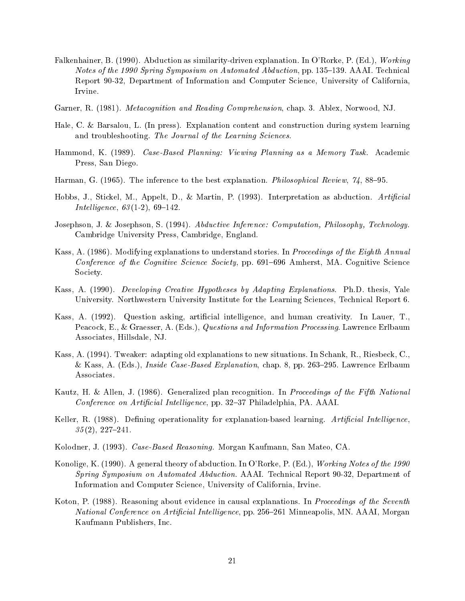- Falkenhainer, B. (1990). Abduction as similarity-driven explanation. In O'Rorke, P. (Ed.), Working Notes of the 1990 Spring Symposium on Automated Abduction, pp. 135-139. AAAI. Technical Report 90-32, Department of Information and Computer Science, University of California, Irvine.
- Garner, R. (1981). Metacognition and Reading Comprehension, chap. 3. Ablex, Norwood, NJ.
- Hale, C. & Barsalou, L. (In press). Explanation content and construction during system learning and troubleshooting. The Journal of the Learning Sciences.
- Hammond, K. (1989). Case-Based Planning: Viewing Planning as a Memory Task. Academic Press, San Diego.
- Harman, G. (1965). The inference to the best explanation. *Philosophical Review*,  $\gamma_4$ , 88–95.
- Hobbs, J., Stickel, M., Appelt, D., & Martin, P. (1993). Interpretation as abduction. Artificial *Intelligence*,  $63(1-2)$ ,  $69-142$ .
- Josephson, J. & Josephson, S. (1994). Abductive Inference: Computation, Philosophy, Technology. Cambridge University Press, Cambridge, England.
- Kass, A. (1986). Modifying explanations to understand stories. In Proceedings of the Eighth Annual Conference of the Cognitive Science Society, pp.  $691{-}696$  Amherst, MA. Cognitive Science Society.
- Kass, A. (1990). Developing Creative Hypotheses by Adapting Explanations. Ph.D. thesis, Yale University. Northwestern University Institute for the Learning Sciences, Technical Report 6.
- Kass, A. (1992). Question asking, artificial intelligence, and human creativity. In Lauer, T., Peacock, E., & Graesser, A. (Eds.), Questions and Information Processing. Lawrence Erlbaum Associates, Hillsdale, NJ.
- Kass, A. (1994). Tweaker: adapting old explanations to new situations. In Schank, R., Riesbeck, C., & Kass, A. (Eds.), *Inside Case-Based Explanation*, chap. 8, pp. 263–295. Lawrence Erlbaum Associates.
- Kautz, H. & Allen, J. (1986). Generalized plan recognition. In Proceedings of the Fifth National Conference on Artificial Intelligence, pp. 32–37 Philadelphia, PA. AAAI.
- Keller, R. (1988). Defining operationality for explanation-based learning. Artificial Intelligence,  $35(2), 227-241.$
- Kolodner, J. (1993). Case-Based Reasoning. Morgan Kaufmann, San Mateo, CA.
- Konolige, K. (1990). A general theory of abduction. In O'Rorke, P. (Ed.), *Working Notes of the 1990* Spring Symposium on Automated Abduction. AAAI. Technical Report 90-32, Department of Information and Computer Science, University of California, Irvine.
- Koton, P. (1988). Reasoning about evidence in causal explanations. In Proceedings of the Seventh National Conference on Artificial Intelligence, pp. 256-261 Minneapolis, MN. AAAI, Morgan Kaufmann Publishers, Inc.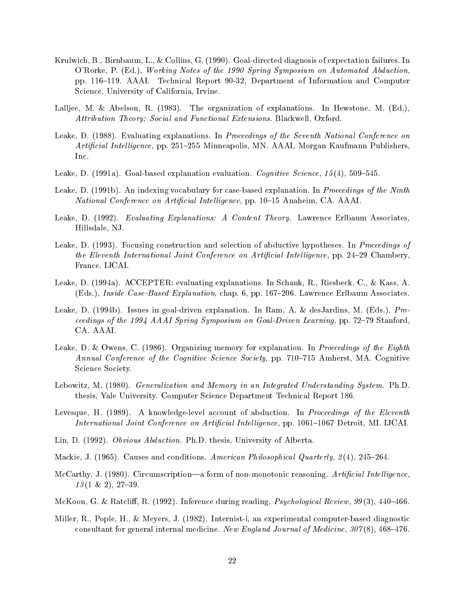- Krulwich, B., Birnbaum, L., & Collins, G. (1990). Goal-directed diagnosis of expectation failures. In O'Rorke, P. (Ed.), Working Notes of the 1990 Spring Symposium on Automated Abduction, pp. 116{119. AAAI. Technical Report 90-32, Department of Information and Computer Science, University of California, Irvine.
- Lalljee, M. & Abelson, R. (1983). The organization of explanations. In Hewstone, M. (Ed.), Attribution Theory: Social and Functional Extensions. Blackwell, Oxford.
- Leake, D. (1988). Evaluating explanations. In Proceedings of the Seventh National Conference on Artificial Intelligence, pp. 251-255 Minneapolis, MN. AAAI, Morgan Kaufmann Publishers, Inc.
- Leake, D. (1991a). Goal-based explanation evaluation. Cognitive Science,  $15(4)$ , 509-545.
- Leake, D. (1991b). An indexing vocabulary for case-based explanation. In Proceedings of the Ninth National Conference on Artificial Intelligence, pp. 10-15 Anaheim, CA. AAAI.
- Leake, D. (1992). Evaluating Explanations: A Content Theory. Lawrence Erlbaum Associates, Hillsdale, NJ.
- Leake, D. (1993). Focusing construction and selection of abductive hypotheses. In Proceedings of the Eleventh International Joint Conference on Artificial Intelligence, pp.  $24-29$  Chambery, France. IJCAI.
- Leake, D. (1994a). ACCEPTER: evaluating explanations. In Schank, R., Riesbeck, C., & Kass, A. (Eds.), *Inside Case-Based Explanation*, chap. 6, pp. 167-206. Lawrence Erlbaum Associates.
- Leake, D. (1994b). Issues in goal-driven explanation. In Ram, A. & desJardins, M. (Eds.), Proceedings of the 1994 AAAI Spring Symposium on Goal-Driven Learning, pp. 72–79 Stanford, CA. AAAI.
- Leake, D. & Owens, C. (1986). Organizing memory for explanation. In Proceedings of the Eighth Annual Conference of the Cognitive Science Society, pp. 710-715 Amherst, MA. Cognitive Science Society.
- Lebowitz, M. (1980). Generalization and Memory in an Integrated Understanding System. Ph.D. thesis, Yale University. Computer Science Department Technical Report 186.
- Levesque, H. (1989). A knowledge-level account of abduction. In Proceedings of the Eleventh International Joint Conference on Artificial Intelligence, pp. 1061-1067 Detroit, MI. IJCAI.
- Lin, D. (1992). Obvious Abduction. Ph.D. thesis, University of Alberta.
- Mackie, J. (1965). Causes and conditions. American Philosophical Quarterly,  $2(4)$ , 245-264.
- McCarthy, J.  $(1980)$ . Circumscription—a form of non-monotonic reasoning. Artificial Intelligence,  $13(1 \& 2), 27-39.$
- McKoon, G. & Ratcliff, R. (1992). Inference during reading. *Psychological Review*,  $99(3)$ ,  $440-466$ .
- Miller, R., Pople, H., & Meyers, J. (1982). Internist-i, an experimental computer-based diagnostic consultant for general internal medicine. New England Journal of Medicine,  $307(8)$ , 468-476.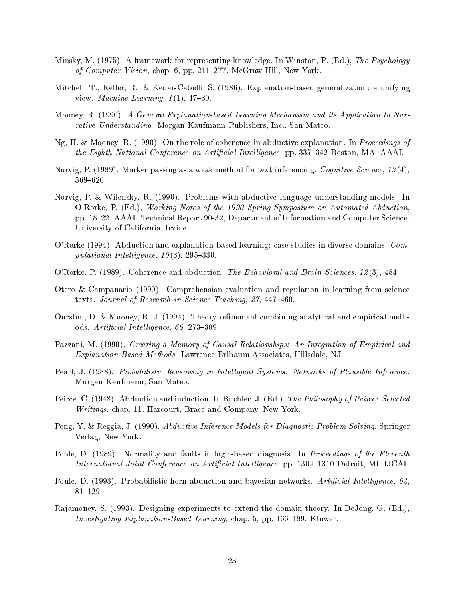- Minsky, M. (1975). A framework for representing knowledge. In Winston, P. (Ed.), The Psychology of Computer Vision, chap. 6, pp. 211-277. McGraw-Hill, New York.
- Mitchell, T., Keller, R., & Kedar-Cabelli, S. (1986). Explanation-based generalization: a unifying view. *Machine Learning*,  $1(1)$ ,  $47-80$ .
- Mooney, R. (1990). A General Explanation-based Learning Mechanism and its Application to Narrative Understanding. Morgan Kaufmann Publishers, Inc., San Mateo.
- Ng, H. & Mooney, R. (1990). On the role of coherence in abductive explanation. In *Proceedings of* the Eighth National Conference on Artificial Intelligence, pp. 337–342 Boston, MA. AAAI.
- Norvig, P. (1989). Marker passing as a weak method for text inferencing. Cognitive Science, 13(4), 569-620.
- Norvig, P. & Wilensky, R. (1990). Problems with abductive language understanding models. In O'Rorke, P. (Ed.), Working Notes of the 1990 Spring Symposium on Automated Abduction, pp. 18{22. AAAI. Technical Report 90-32, Department of Information and Computer Science, University of California, Irvine.
- O'Rorke (1994). Abduction and explanation-based learning: case studies in diverse domains. Computational Intelligence,  $10(3)$ ,  $295{-}330$ .
- O'Rorke, P. (1989). Coherence and abduction. The Behavioral and Brain Sciences, 12(3), 484.
- Otero & Campanario (1990). Comprehension evaluation and regulation in learning from science texts. Journal of Research in Science Teaching,  $27$ ,  $447-460$ .
- Ourston, D. & Mooney, R. J.  $(1994)$ . Theory refinement combining analytical and empirical methods.  $Artificial Intelligence, 66, 273-309.$
- Pazzani, M. (1990). Creating a Memory of Causal Relationships: An Integration of Empirical and Explanation-Based Methods. Lawrence Erlbaum Associates, Hillsdale, NJ.
- Pearl, J. (1988). Probabilistic Reasoning in Intelligent Systems: Networks of Plausible Inference. Morgan Kaufmann, San Mateo.
- Peirce, C. (1948). Abduction and induction. In Buchler, J. (Ed.), The Philosophy of Peirce: Selected Writings, chap. 11. Harcourt, Brace and Company, New York.
- Peng, Y. & Reggia, J. (1990). Abductive Inference Models for Diagnostic Problem Solving. Springer Verlag, New York.
- Poole, D. (1989). Normality and faults in logic-based diagnosis. In Proceedings of the Eleventh International Joint Conference on Artificial Intelligence, pp. 1304-1310 Detroit, MI. IJCAI.
- Poule, D. (1993). Probabilistic horn abduction and bayesian networks. Artificial Intelligence, 64, 81-129.
- Ra jamoney, S. (1993). Designing experiments to extend the domain theory. In DeJong, G. (Ed.), *Investigating Explanation-Based Learning, chap.* 5, pp. 166–189. Kluwer.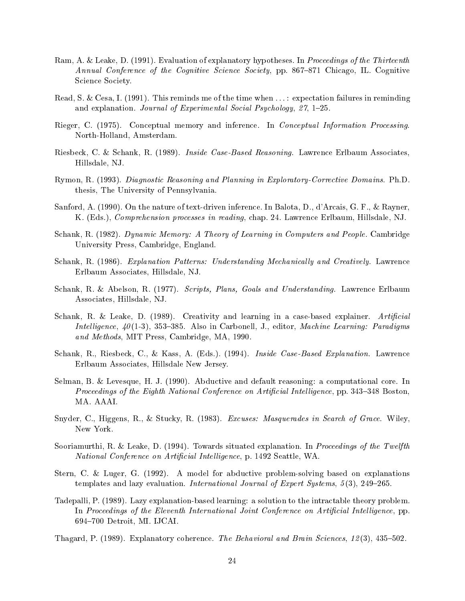- Ram, A. & Leake, D. (1991). Evaluation of explanatory hypotheses. In Proceedings of the Thirteenth Annual Conference of the Cognitive Science Society, pp. 867-871 Chicago, IL. Cognitive Science Society.
- Read, S. & Cesa, I. (1991). This reminds me of the time when  $\dots$ : expectation failures in reminding and explanation. Journal of Experimental Social Psychology, 27, 1-25.
- Rieger, C. (1975). Conceptual memory and inference. In Conceptual Information Processing. North-Holland, Amsterdam.
- Riesbeck, C. & Schank,R. (1989). Inside Case-Based Reasoning. Lawrence Erlbaum Associates, Hillsdale, NJ.
- Rymon, R. (1993). Diagnostic Reasoning and Planning in Exploratory-Corrective Domains. Ph.D. thesis, The University of Pennsylvania.
- Sanford, A. (1990). On the nature of text-driven inference. In Balota, D., d'Arcais, G. F., & Rayner, K. (Eds.), Comprehension processes in reading, chap. 24. Lawrence Erlbaum, Hillsdale, NJ.
- Schank, R. (1982). Dynamic Memory: A Theory of Learning in Computers and People. Cambridge University Press, Cambridge, England.
- Schank, R. (1986). Explanation Patterns: Understanding Mechanically and Creatively. Lawrence Erlbaum Associates, Hillsdale, NJ.
- Schank, R. & Abelson, R. (1977). Scripts, Plans, Goals and Understanding. Lawrence Erlbaum Associates, Hillsdale, NJ.
- Schank, R. & Leake, D. (1989). Creativity and learning in a case-based explainer. Artificial Intelligence,  $40(1-3)$ , 353-385. Also in Carbonell, J., editor, *Machine Learning: Paradigms* and Methods, MIT Press, Cambridge, MA, 1990.
- Schank, R., Riesbeck, C., & Kass, A. (Eds.). (1994). Inside Case-Based Explanation. Lawrence Erlbaum Associates, Hillsdale New Jersey.
- Selman, B. & Levesque, H. J. (1990). Abductive and default reasoning: a computational core. In Proceedings of the Eighth National Conference on Artificial Intelligence, pp. 343–348 Boston, MA. AAAI.
- Snyder, C., Higgens, R., & Stucky, R. (1983). Excuses: Masquerades in Search of Grace. Wiley, New York.
- Sooriamurthi, R. & Leake, D. (1994). Towards situated explanation. In Proceedings of the Twelfth National Conference on Artificial Intelligence, p. 1492 Seattle, WA.
- Stern, C. & Luger, G. (1992). A model for abductive problem-solving based on explanations templates and lazy evaluation. International Journal of Expert Systems,  $5(3)$ , 249-265.
- Tadepalli, P. (1989). Lazy explanation-based learning: a solution to the intractable theory problem. In Proceedings of the Eleventh International Joint Conference on Artificial Intelligence, pp. 694{700 Detroit, MI. IJCAI.
- Thagard, P. (1989). Explanatory coherence. The Behavioral and Brain Sciences,  $12(3)$ , 435-502.